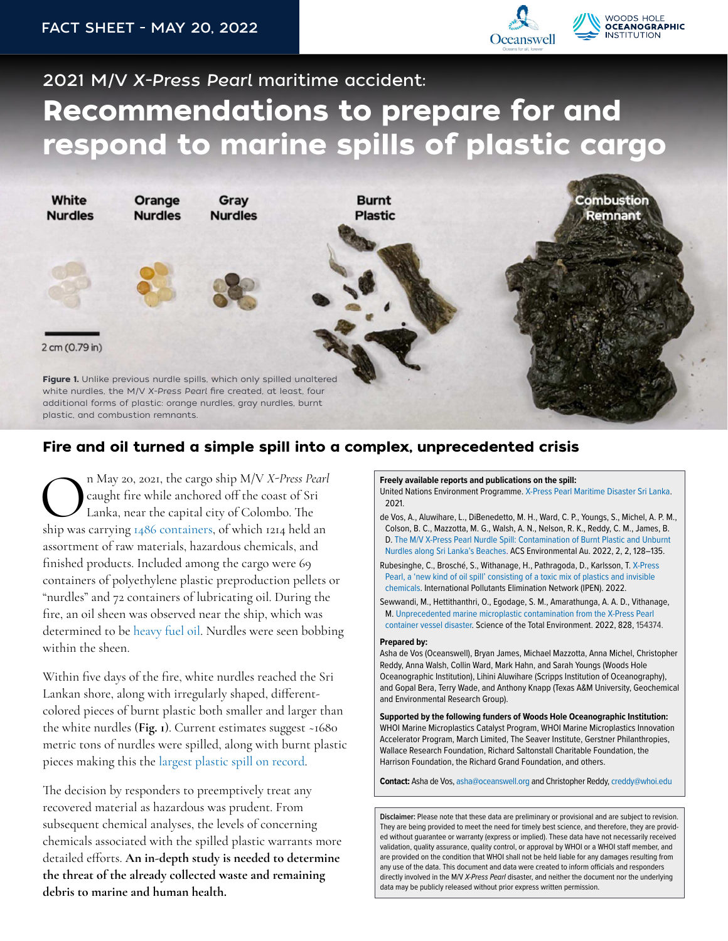

## 2021 M/V *X-Press Pearl* maritime accident: Recommendations to prepare for and respond to marine spills of plastic cargo



## Fire and oil turned a simple spill into a complex, unprecedented crisis

China May 20, 2021, the cargo ship M/V X-Press Pearl Caught fire while anchored off the coast of Sri Lanka, near the capital city of Colombo. The ship was carrying [1486 containers](https://pubs.acs.org/doi/abs/10.1021/acsenvironau.1c00031), of which 1214 held an n May 20, 2021, the cargo ship M/V *X-Press Pearl* caught fire while anchored off the coast of Sri Lanka, near the capital city of Colombo. The assortment of raw materials, hazardous chemicals, and finished products. Included among the cargo were 69 containers of polyethylene plastic preproduction pellets or "nurdles" and 72 containers of lubricating oil. During the fire, an oil sheen was observed near the ship, which was determined to be [heavy fuel oil.](https://www.unep.org/resources/report/x-press-pearl-maritime-disaster-sri-lanka-report-un-environmental-advisory-mission) Nurdles were seen bobbing within the sheen.

Within five days of the fire, white nurdles reached the Sri Lankan shore, along with irregularly shaped, differentcolored pieces of burnt plastic both smaller and larger than the white nurdles (**Fig. 1**). Current estimates suggest ~1680 metric tons of nurdles were spilled, along with burnt plastic pieces making this the [largest plastic spill on record](https://www.unep.org/resources/report/x-press-pearl-maritime-disaster-sri-lanka-report-un-environmental-advisory-mission).

The decision by responders to preemptively treat any recovered material as hazardous was prudent. From subsequent chemical analyses, the levels of concerning chemicals associated with the spilled plastic warrants more detailed efforts. **An in-depth study is needed to determine the threat of the already collected waste and remaining debris to marine and human health.** 

**Freely available reports and publications on the spill:** United Nations Environment Programme. [X-Press Pearl Maritime Disaster Sri Lanka.](https://www.unep.org/resources/report/x-press-pearl-maritime-disaster-sri-lanka-report-un-environmental-advisory-mission) 2021.

- de Vos, A., Aluwihare, L., DiBenedetto, M. H., Ward, C. P., Youngs, S., Michel, A. P. M., Colson, B. C., Mazzotta, M. G., Walsh, A. N., Nelson, R. K., Reddy, C. M., James, B. D. [The M/V X-Press Pearl Nurdle Spill: Contamination of Burnt Plastic and Unburnt](https://pubs.acs.org/doi/10.1021/acsenvironau.1c00031)  [Nurdles along Sri Lanka's Beaches.](https://pubs.acs.org/doi/10.1021/acsenvironau.1c00031) ACS Environmental Au. 2022, 2, 2, 128–135.
- Rubesinghe, C., Brosché, S., Withanage, H., Pathragoda, D., Karlsson, T. [X-Press](https://ipen.org/documents/x-press-pearl-new-kind-oil-spill)  [Pearl, a 'new kind of oil spill' consisting of a toxic mix of plastics and invisible](https://ipen.org/documents/x-press-pearl-new-kind-oil-spill)  [chemicals.](https://ipen.org/documents/x-press-pearl-new-kind-oil-spill) International Pollutants Elimination Network (IPEN). 2022.
- Sewwandi, M., Hettithanthri, O., Egodage, S. M., Amarathunga, A. A. D., Vithanage, M. [Unprecedented marine microplastic contamination from the X-Press Pearl](https://www.researchgate.net/publication/359123417_Unprecedented_marine_microplastic_contamination_from_the_X-Press_Pearl_container_vessel_disaster)  [container vessel disaster.](https://www.researchgate.net/publication/359123417_Unprecedented_marine_microplastic_contamination_from_the_X-Press_Pearl_container_vessel_disaster) Science of the Total Environment. 2022, 828, 154374.

## **Prepared by:**

Asha de Vos (Oceanswell), Bryan James, Michael Mazzotta, Anna Michel, Christopher Reddy, Anna Walsh, Collin Ward, Mark Hahn, and Sarah Youngs (Woods Hole Oceanographic Institution), Lihini Aluwihare (Scripps Institution of Oceanography), and Gopal Bera, Terry Wade, and Anthony Knapp (Texas A&M University, Geochemical and Environmental Research Group).

**Supported by the following funders of Woods Hole Oceanographic Institution:** WHOI Marine Microplastics Catalyst Program, WHOI Marine Microplastics Innovation Accelerator Program, March Limited, The Seaver Institute, Gerstner Philanthropies, Wallace Research Foundation, Richard Saltonstall Charitable Foundation, the Harrison Foundation, the Richard Grand Foundation, and others.

**Contact:** Asha de Vos, asha@oceanswell.org and Christopher Reddy, [creddy@whoi.edu](mailto:creddy@whoi.edu)

**Disclaimer:** Please note that these data are preliminary or provisional and are subject to revision. They are being provided to meet the need for timely best science, and therefore, they are provided without guarantee or warranty (express or implied). These data have not necessarily received validation, quality assurance, quality control, or approval by WHOI or a WHOI staff member, and are provided on the condition that WHOI shall not be held liable for any damages resulting from any use of the data. This document and data were created to inform officials and responders directly involved in the M/V X-Press Pearl disaster, and neither the document nor the underlying data may be publicly released without prior express written permission.